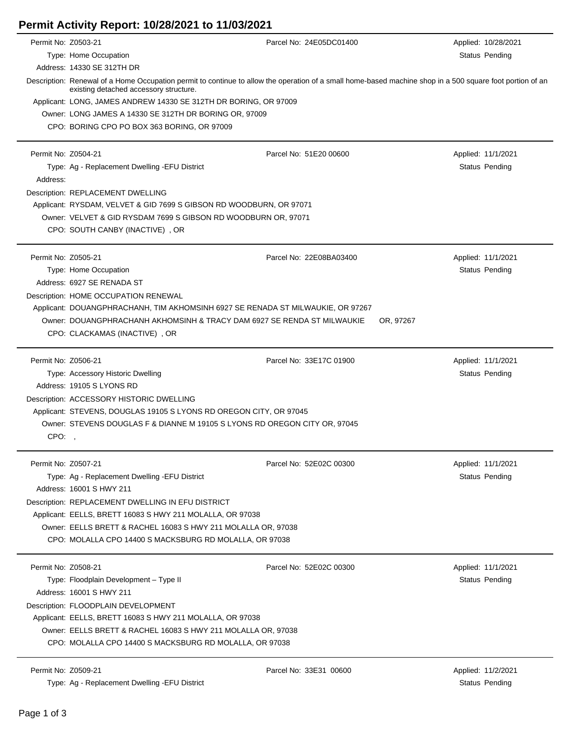## **Permit Activity Report: 10/28/2021 to 11/03/2021**

| Permit No: Z0503-21 |                                                                                                                                                                                                     | Parcel No: 24E05DC01400 | Applied: 10/28/2021 |  |  |
|---------------------|-----------------------------------------------------------------------------------------------------------------------------------------------------------------------------------------------------|-------------------------|---------------------|--|--|
|                     | Type: Home Occupation                                                                                                                                                                               |                         | Status Pending      |  |  |
|                     | Address: 14330 SE 312TH DR                                                                                                                                                                          |                         |                     |  |  |
|                     | Description: Renewal of a Home Occupation permit to continue to allow the operation of a small home-based machine shop in a 500 square foot portion of an<br>existing detached accessory structure. |                         |                     |  |  |
|                     | Applicant: LONG, JAMES ANDREW 14330 SE 312TH DR BORING, OR 97009                                                                                                                                    |                         |                     |  |  |
|                     | Owner: LONG JAMES A 14330 SE 312TH DR BORING OR, 97009                                                                                                                                              |                         |                     |  |  |
|                     | CPO: BORING CPO PO BOX 363 BORING, OR 97009                                                                                                                                                         |                         |                     |  |  |
| Permit No: Z0504-21 |                                                                                                                                                                                                     | Parcel No: 51E20 00600  | Applied: 11/1/2021  |  |  |
|                     | Type: Ag - Replacement Dwelling - EFU District                                                                                                                                                      |                         | Status Pending      |  |  |
| Address:            |                                                                                                                                                                                                     |                         |                     |  |  |
|                     | Description: REPLACEMENT DWELLING                                                                                                                                                                   |                         |                     |  |  |
|                     | Applicant: RYSDAM, VELVET & GID 7699 S GIBSON RD WOODBURN, OR 97071                                                                                                                                 |                         |                     |  |  |
|                     | Owner: VELVET & GID RYSDAM 7699 S GIBSON RD WOODBURN OR, 97071                                                                                                                                      |                         |                     |  |  |
|                     | CPO: SOUTH CANBY (INACTIVE), OR                                                                                                                                                                     |                         |                     |  |  |
| Permit No: Z0505-21 |                                                                                                                                                                                                     | Parcel No: 22E08BA03400 | Applied: 11/1/2021  |  |  |
|                     | Type: Home Occupation                                                                                                                                                                               |                         | Status Pending      |  |  |
|                     | Address: 6927 SE RENADA ST                                                                                                                                                                          |                         |                     |  |  |
|                     | Description: HOME OCCUPATION RENEWAL                                                                                                                                                                |                         |                     |  |  |
|                     | Applicant: DOUANGPHRACHANH, TIM AKHOMSINH 6927 SE RENADA ST MILWAUKIE, OR 97267                                                                                                                     |                         |                     |  |  |
|                     | Owner: DOUANGPHRACHANH AKHOMSINH & TRACY DAM 6927 SE RENDA ST MILWAUKIE<br>OR, 97267                                                                                                                |                         |                     |  |  |
|                     | CPO: CLACKAMAS (INACTIVE), OR                                                                                                                                                                       |                         |                     |  |  |
| Permit No: Z0506-21 |                                                                                                                                                                                                     | Parcel No: 33E17C 01900 | Applied: 11/1/2021  |  |  |
|                     | Type: Accessory Historic Dwelling                                                                                                                                                                   |                         | Status Pending      |  |  |
|                     | Address: 19105 S LYONS RD                                                                                                                                                                           |                         |                     |  |  |
|                     | Description: ACCESSORY HISTORIC DWELLING                                                                                                                                                            |                         |                     |  |  |
|                     | Applicant: STEVENS, DOUGLAS 19105 S LYONS RD OREGON CITY, OR 97045                                                                                                                                  |                         |                     |  |  |
|                     | Owner: STEVENS DOUGLAS F & DIANNE M 19105 S LYONS RD OREGON CITY OR, 97045                                                                                                                          |                         |                     |  |  |
| CPO:                |                                                                                                                                                                                                     |                         |                     |  |  |
| Permit No: Z0507-21 |                                                                                                                                                                                                     | Parcel No: 52E02C 00300 | Applied: 11/1/2021  |  |  |
|                     | Type: Ag - Replacement Dwelling - EFU District                                                                                                                                                      |                         | Status Pending      |  |  |
|                     | Address: 16001 S HWY 211                                                                                                                                                                            |                         |                     |  |  |
|                     | Description: REPLACEMENT DWELLING IN EFU DISTRICT                                                                                                                                                   |                         |                     |  |  |
|                     | Applicant: EELLS, BRETT 16083 S HWY 211 MOLALLA, OR 97038                                                                                                                                           |                         |                     |  |  |
|                     | Owner: EELLS BRETT & RACHEL 16083 S HWY 211 MOLALLA OR, 97038                                                                                                                                       |                         |                     |  |  |
|                     | CPO: MOLALLA CPO 14400 S MACKSBURG RD MOLALLA, OR 97038                                                                                                                                             |                         |                     |  |  |
| Permit No: Z0508-21 |                                                                                                                                                                                                     | Parcel No: 52E02C 00300 | Applied: 11/1/2021  |  |  |
|                     | Type: Floodplain Development - Type II                                                                                                                                                              |                         | Status Pending      |  |  |
|                     | Address: 16001 S HWY 211                                                                                                                                                                            |                         |                     |  |  |
|                     | Description: FLOODPLAIN DEVELOPMENT                                                                                                                                                                 |                         |                     |  |  |
|                     | Applicant: EELLS, BRETT 16083 S HWY 211 MOLALLA, OR 97038                                                                                                                                           |                         |                     |  |  |
|                     | Owner: EELLS BRETT & RACHEL 16083 S HWY 211 MOLALLA OR, 97038                                                                                                                                       |                         |                     |  |  |
|                     | CPO: MOLALLA CPO 14400 S MACKSBURG RD MOLALLA, OR 97038                                                                                                                                             |                         |                     |  |  |
| Permit No: Z0509-21 |                                                                                                                                                                                                     | Parcel No: 33E31 00600  | Applied: 11/2/2021  |  |  |

Type: Ag - Replacement Dwelling -EFU District Status Pending Status Pending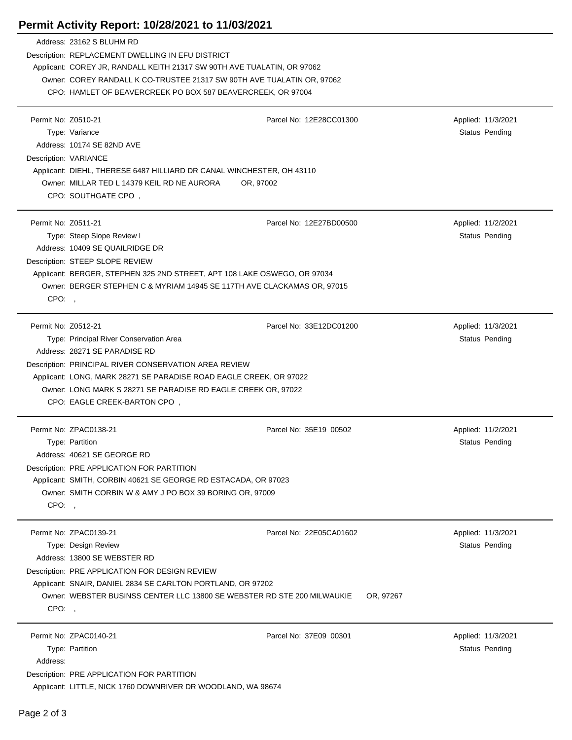## **Permit Activity Report: 10/28/2021 to 11/03/2021**

|                       | Address: 23162 S BLUHM RD                                                                                                         |                         |                       |  |  |
|-----------------------|-----------------------------------------------------------------------------------------------------------------------------------|-------------------------|-----------------------|--|--|
|                       | Description: REPLACEMENT DWELLING IN EFU DISTRICT                                                                                 |                         |                       |  |  |
|                       | Applicant: COREY JR, RANDALL KEITH 21317 SW 90TH AVE TUALATIN, OR 97062                                                           |                         |                       |  |  |
|                       | Owner: COREY RANDALL K CO-TRUSTEE 21317 SW 90TH AVE TUALATIN OR, 97062                                                            |                         |                       |  |  |
|                       | CPO: HAMLET OF BEAVERCREEK PO BOX 587 BEAVERCREEK, OR 97004                                                                       |                         |                       |  |  |
|                       |                                                                                                                                   |                         |                       |  |  |
| Permit No: Z0510-21   |                                                                                                                                   | Parcel No: 12E28CC01300 | Applied: 11/3/2021    |  |  |
|                       | Type: Variance                                                                                                                    |                         | Status Pending        |  |  |
|                       | Address: 10174 SE 82ND AVE                                                                                                        |                         |                       |  |  |
| Description: VARIANCE |                                                                                                                                   |                         |                       |  |  |
|                       | Applicant: DIEHL, THERESE 6487 HILLIARD DR CANAL WINCHESTER, OH 43110<br>Owner: MILLAR TED L 14379 KEIL RD NE AURORA<br>OR, 97002 |                         |                       |  |  |
|                       |                                                                                                                                   |                         |                       |  |  |
|                       | CPO: SOUTHGATE CPO,                                                                                                               |                         |                       |  |  |
|                       |                                                                                                                                   |                         |                       |  |  |
| Permit No: Z0511-21   |                                                                                                                                   | Parcel No: 12E27BD00500 | Applied: 11/2/2021    |  |  |
|                       | Type: Steep Slope Review I                                                                                                        |                         | Status Pending        |  |  |
|                       | Address: 10409 SE QUAILRIDGE DR                                                                                                   |                         |                       |  |  |
|                       | Description: STEEP SLOPE REVIEW                                                                                                   |                         |                       |  |  |
|                       | Applicant: BERGER, STEPHEN 325 2ND STREET, APT 108 LAKE OSWEGO, OR 97034                                                          |                         |                       |  |  |
|                       | Owner: BERGER STEPHEN C & MYRIAM 14945 SE 117TH AVE CLACKAMAS OR, 97015                                                           |                         |                       |  |  |
| CPO:                  |                                                                                                                                   |                         |                       |  |  |
|                       |                                                                                                                                   |                         |                       |  |  |
| Permit No: Z0512-21   |                                                                                                                                   | Parcel No: 33E12DC01200 | Applied: 11/3/2021    |  |  |
|                       | Type: Principal River Conservation Area                                                                                           |                         | Status Pending        |  |  |
|                       | Address: 28271 SE PARADISE RD                                                                                                     |                         |                       |  |  |
|                       | Description: PRINCIPAL RIVER CONSERVATION AREA REVIEW                                                                             |                         |                       |  |  |
|                       | Applicant: LONG, MARK 28271 SE PARADISE ROAD EAGLE CREEK, OR 97022                                                                |                         |                       |  |  |
|                       | Owner: LONG MARK S 28271 SE PARADISE RD EAGLE CREEK OR, 97022                                                                     |                         |                       |  |  |
|                       | CPO: EAGLE CREEK-BARTON CPO,                                                                                                      |                         |                       |  |  |
|                       |                                                                                                                                   |                         |                       |  |  |
|                       | Permit No: ZPAC0138-21                                                                                                            | Parcel No: 35E19 00502  | Applied: 11/2/2021    |  |  |
|                       | Type: Partition                                                                                                                   |                         | Status Pending        |  |  |
|                       | Address: 40621 SE GEORGE RD                                                                                                       |                         |                       |  |  |
|                       | Description: PRE APPLICATION FOR PARTITION                                                                                        |                         |                       |  |  |
|                       | Applicant: SMITH, CORBIN 40621 SE GEORGE RD ESTACADA, OR 97023                                                                    |                         |                       |  |  |
|                       | Owner: SMITH CORBIN W & AMY J PO BOX 39 BORING OR, 97009                                                                          |                         |                       |  |  |
| CPO:,                 |                                                                                                                                   |                         |                       |  |  |
|                       |                                                                                                                                   |                         |                       |  |  |
|                       | Permit No: ZPAC0139-21                                                                                                            | Parcel No: 22E05CA01602 | Applied: 11/3/2021    |  |  |
|                       | Type: Design Review                                                                                                               |                         | Status Pending        |  |  |
|                       | Address: 13800 SE WEBSTER RD                                                                                                      |                         |                       |  |  |
|                       | Description: PRE APPLICATION FOR DESIGN REVIEW                                                                                    |                         |                       |  |  |
|                       | Applicant: SNAIR, DANIEL 2834 SE CARLTON PORTLAND, OR 97202                                                                       |                         |                       |  |  |
|                       | Owner: WEBSTER BUSINSS CENTER LLC 13800 SE WEBSTER RD STE 200 MILWAUKIE                                                           | OR, 97267               |                       |  |  |
|                       | CPO:                                                                                                                              |                         |                       |  |  |
|                       |                                                                                                                                   |                         |                       |  |  |
|                       | Permit No: ZPAC0140-21                                                                                                            | Parcel No: 37E09 00301  | Applied: 11/3/2021    |  |  |
|                       | Type: Partition                                                                                                                   |                         | <b>Status Pending</b> |  |  |
| Address:              |                                                                                                                                   |                         |                       |  |  |
|                       | Description: PRE APPLICATION FOR PARTITION                                                                                        |                         |                       |  |  |
|                       | Applicant: LITTLE, NICK 1760 DOWNRIVER DR WOODLAND, WA 98674                                                                      |                         |                       |  |  |

J.